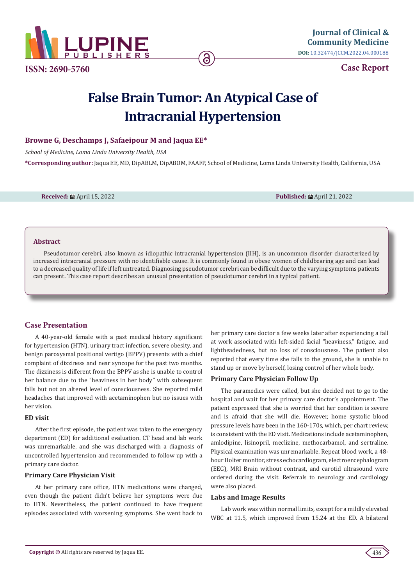

**ISSN: 2690-5760**

**Case Report**

# **False Brain Tumor: An Atypical Case of Intracranial Hypertension**

# **Browne G, Deschamps J, Safaeipour M and Jaqua EE\***

*School of Medicine, Loma Linda University Health, USA*

**\*Corresponding author:** Jaqua EE, MD, DipABLM, DipABOM, FAAFP, School of Medicine, Loma Linda University Health, California, USA

**Received:** April 15, 2022 **Published:** April 21, 2022

#### **Abstract**

Pseudotumor cerebri, also known as idiopathic intracranial hypertension (IIH), is an uncommon disorder characterized by increased intracranial pressure with no identifiable cause. It is commonly found in obese women of childbearing age and can lead to a decreased quality of life if left untreated. Diagnosing pseudotumor cerebri can be difficult due to the varying symptoms patients can present. This case report describes an unusual presentation of pseudotumor cerebri in a typical patient.

# **Case Presentation**

A 40-year-old female with a past medical history significant for hypertension (HTN), urinary tract infection, severe obesity, and benign paroxysmal positional vertigo (BPPV) presents with a chief complaint of dizziness and near syncope for the past two months. The dizziness is different from the BPPV as she is unable to control her balance due to the "heaviness in her body" with subsequent falls but not an altered level of consciousness. She reported mild headaches that improved with acetaminophen but no issues with her vision.

#### **ED visit**

After the first episode, the patient was taken to the emergency department (ED) for additional evaluation. CT head and lab work was unremarkable, and she was discharged with a diagnosis of uncontrolled hypertension and recommended to follow up with a primary care doctor.

### **Primary Care Physician Visit**

At her primary care office, HTN medications were changed, even though the patient didn't believe her symptoms were due to HTN. Nevertheless, the patient continued to have frequent episodes associated with worsening symptoms. She went back to

her primary care doctor a few weeks later after experiencing a fall at work associated with left-sided facial "heaviness," fatigue, and lightheadedness, but no loss of consciousness. The patient also reported that every time she falls to the ground, she is unable to stand up or move by herself, losing control of her whole body.

### **Primary Care Physician Follow Up**

The paramedics were called, but she decided not to go to the hospital and wait for her primary care doctor's appointment. The patient expressed that she is worried that her condition is severe and is afraid that she will die. However, home systolic blood pressure levels have been in the 160-170s, which, per chart review, is consistent with the ED visit. Medications include acetaminophen, amlodipine, lisinopril, meclizine, methocarbamol, and sertraline. Physical examination was unremarkable. Repeat blood work, a 48 hour Holter monitor, stress echocardiogram, electroencephalogram (EEG), MRI Brain without contrast, and carotid ultrasound were ordered during the visit. Referrals to neurology and cardiology were also placed.

### **Labs and Image Results**

Lab work was within normal limits, except for a mildly elevated WBC at 11.5, which improved from 15.24 at the ED. A bilateral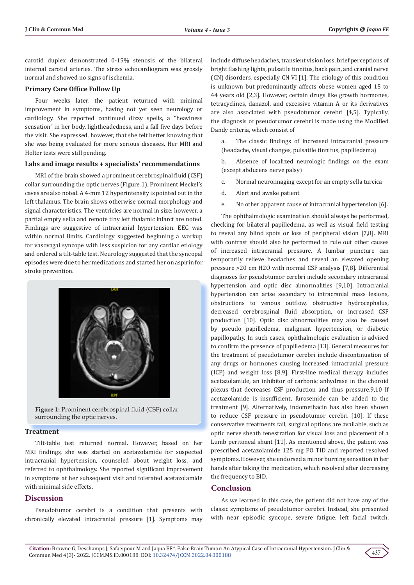carotid duplex demonstrated 0-15% stenosis of the bilateral internal carotid arteries. The stress echocardiogram was grossly normal and showed no signs of ischemia.

#### **Primary Care Office Follow Up**

Four weeks later, the patient returned with minimal improvement in symptoms, having not yet seen neurology or cardiology. She reported continued dizzy spells, a "heaviness sensation" in her body, lightheadedness, and a fall five days before the visit. She expressed, however, that she felt better knowing that she was being evaluated for more serious diseases. Her MRI and Holter tests were still pending.

#### **Labs and image results + specialists' recommendations**

MRI of the brain showed a prominent cerebrospinal fluid (CSF) collar surrounding the optic nerves (Figure 1). Prominent Meckel's caves are also noted. A 4-mm T2 hyperintensity is pointed out in the left thalamus. The brain shows otherwise normal morphology and signal characteristics. The ventricles are normal in size; however, a partial empty sella and remote tiny left thalamic infarct are noted. Findings are suggestive of intracranial hypertension. EEG was within normal limits. Cardiology suggested beginning a workup for vasovagal syncope with less suspicion for any cardiac etiology and ordered a tilt-table test. Neurology suggested that the syncopal episodes were due to her medications and started her on aspirin for stroke prevention.



**Figure 1:** Prominent cerebrospinal fluid (CSF) collar surrounding the optic nerves.

#### **Treatment**

Tilt-table test returned normal. However, based on her MRI findings, she was started on acetazolamide for suspected intracranial hypertension, counseled about weight loss, and referred to ophthalmology. She reported significant improvement in symptoms at her subsequent visit and tolerated acetazolamide with minimal side effects.

## **Discussion**

Pseudotumor cerebri is a condition that presents with chronically elevated intracranial pressure [1]. Symptoms may include diffuse headaches, transient vision loss, brief perceptions of bright flashing lights, pulsatile tinnitus, back pain, and cranial nerve (CN) disorders, especially CN VI [1]. The etiology of this condition is unknown but predominantly affects obese women aged 15 to 44 years old [2,3]. However, certain drugs like growth hormones, tetracyclines, danazol, and excessive vitamin A or its derivatives are also associated with pseudotumor cerebri [4,5]. Typically, the diagnosis of pseudotumor cerebri is made using the Modified Dandy criteria, which consist of

a. The classic findings of increased intracranial pressure (headache, visual changes, pulsatile tinnitus, papilledema)

b. Absence of localized neurologic findings on the exam (except abducens nerve palsy)

- c. Normal neuroimaging except for an empty sella turcica
- d. Alert and awake patient
- e. No other apparent cause of intracranial hypertension [6].

The ophthalmologic examination should always be performed, checking for bilateral papilledema, as well as visual field testing to reveal any blind spots or loss of peripheral vision [7,8]. MRI with contrast should also be performed to rule out other causes of increased intracranial pressure. A lumbar puncture can temporarily relieve headaches and reveal an elevated opening pressure >20 cm H2O with normal CSF analysis [7,8]. Differential diagnoses for pseudotumor cerebri include secondary intracranial hypertension and optic disc abnormalities [9,10]. Intracranial hypertension can arise secondary to intracranial mass lesions, obstructions to venous outflow, obstructive hydrocephalus, decreased cerebrospinal fluid absorption, or increased CSF production [10]. Optic disc abnormalities may also be caused by pseudo papilledema, malignant hypertension, or diabetic papillopathy. In such cases, ophthalmologic evaluation is advised to confirm the presence of papilledema [13]. General measures for the treatment of pseudotumor cerebri include discontinuation of any drugs or hormones causing increased intracranial pressure (ICP) and weight loss [8,9]. First-line medical therapy includes acetazolamide, an inhibitor of carbonic anhydrase in the choroid plexus that decreases CSF production and thus pressure.9,10 If acetazolamide is insufficient, furosemide can be added to the treatment [9]. Alternatively, indomethacin has also been shown to reduce CSF pressure in pseudotumor cerebri [10]. If these conservative treatments fail, surgical options are available, such as optic nerve sheath fenestration for visual loss and placement of a Lumb peritoneal shunt [11]. As mentioned above, the patient was prescribed acetazolamide 125 mg PO TID and reported resolved symptoms. However, she endorsed a minor burning sensation in her hands after taking the medication, which resolved after decreasing the frequency to BID.

### **Conclusion**

As we learned in this case, the patient did not have any of the classic symptoms of pseudotumor cerebri. Instead, she presented with near episodic syncope, severe fatigue, left facial twitch,